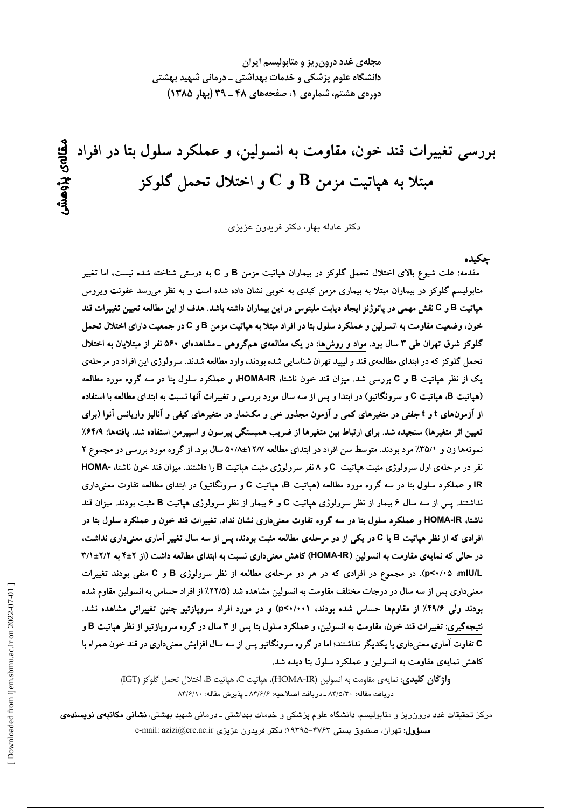مجلهی غدد درون ریز و متابولیسم ایران دانشگاه علوم پزشکی و خدمات بهداشتی ــ درمانی شهید بهشتی دوره ی هشتم، شماره ی ۱، صفحههای ۴۸ ـ ۳۹ (بهار ۱۳۸۵)

بررسی تغییرات قند خون، مقاومت به انسولین، و عملکرد سلول بتا در افراد <u>ھالەي نۆوھىتىر</u> مبتلا به هپاتیت مزمن  ${\bf B}$  و  ${\bf C}$  و اختلال تحمل گلوکز

دکتر عادله بهار، دکتر فریدون عزیزی

حكىدە

مقدمه: علت شیوع بالای اختلال تحمل گلوکز در بیماران هپاتیت مزمن B و C به درستی شناخته شده نیست، اما تغییر متابولیسم گلوکز در بیماران مبتلا به بیماری مزمن کبدی به خوبی نشان داده شده است و به نظر میرسد عفونت ویروس هپاتیت B و C نقش مهمی در پاتوژنز ایجاد دیابت ملیتوس در این بیماران داشته باشد. هدف از این مطالعه تعیین تغییرات قند خون، وضعیت مقاومت به انسولین و عملکرد سلول بتا در افراد مبتلا به هپاتیت مزمن B و C در جمعیت دارای اختلال تحمل گلوکز شرق تهران طی ۳ سال بود. مواد و روش۱۰ در یک مطالعهی همگروهی ـ مشاهدهای ۵۶۰ نفر از مبتلایان به اختلال تحمل گلوکز که در ابتدای مطالعهی قند و لیپید تهران شناسایی شده بودند، وارد مطالعه شدند. سرولوژی این افراد در مرحلهی یک از نظر هپاتیت B و C بررسی شد. میزان قند خون ناشتا، HOMA-IR، و عملکرد سلول بتا در سه گروه مورد مطالعه (هپاتیت B، هپاتیت C و سرونگاتیو) در ابتدا و پس از سه سال مورد بررسی و تغییرات آنها نسبت به ابتدای مطالعه با استفاده از آزمونهای t و t جفتی در متغیرهای کمی و آزمون مجذور خی و مکنمار در متغیرهای کیفی و آنالیز واریانس آنوا (برای تعیین اثر متغیرها) سنجیده شد. برای ارتباط بین متغیرها از ضریب همبستگی پیرسون و اسپیرمن استفاده شد. یافتهها: ۶۴/۹٪ نمونهها زن و ٣۵/١٪ مرد بودند. متوسط سن افراد در ابتدای مطالعه ١٢/٧±٥٠/٨ سال بود. از گروه مورد بررسی در مجموع ٢ نفر در مرحلهی اول سرولوژی مثبت هیاتیت C و ۸نفر سرولوژی مثبت هیاتیت B را داشتند. میزان قند خون ناشتا، -HOMA IR و عملکرد سلول بتا در سه گروه مورد مطالعه (هپاتیت B، هپاتیت C و سرونگاتیو) در ابتدای مطالعه تفاوت معنیداری نداشتند. پس از سه سال ۶ بیمار از نظر سرولوژی هپاتیت C و ۶ بیمار از نظر سرولوژی هپاتیت B مثبت بودند. میزان قند ناشتا، HOMA-IR و عملکرد سلول بتا در سه گروه تفاوت معنیداری نشان نداد. تغییرات قند خون و عملکرد سلول بتا در افرادی که از نظر هپاتیت B یا C در یکی از دو مرحلهی مطالعه مثبت بودند، پس از سه سال تغییر آماری معنیداری نداشت، در حالی که نمایهی مقاومت به انسولین (HOMA-IR) کاهش معنیداری نسبت به ابتدای مطالعه داشت (از ۲±۴ به ۲/۱±۳/۱ p<۰/۰۵ ،mlU/L). در مجموع در افرادی که در هر دو مرحلهی مطالعه از نظر سرولوژی B و C منفی بودند تغییرات معنیداری پس از سه سال در درجات مختلف مقاومت به انسولین مشاهده شد (۲۲/۵٪ از افراد حساس به انسولین مقاوم شده بودند ولی ۴۹/۶٪ از مقاومها حساس شده بودند، p<۰/۰۰۱) و در مورد افراد سروپازتیو چنین تغییراتی مشاهده نشد. نتيجهگيري: تغييرات قند خون، مقاومت به انسولين، و عملكرد سلول بتا يس از ٣ سال در گروه سرويازتيو از نظر هياتيت B و C تفاوت آماری معنیداری با یکدیگر نداشتند؛ اما در گروه سرونگاتیو پس از سه سال افزایش معنیداری در قند خون همراه با کاهش نمایهی مقاومت به انسولین و عملکرد سلول بتا دیده شد.

واژگان كليدى: نمايهى مقاومت به انسولين (HOMA-IR)، هياتيت C، هياتيت B، اختلال تحمل گلوكز (IGT) دريافت مقاله: ٨۴/٥/٣٠ ـ دريافت اصلاحيه: ٨۴/۶/۶ ـ پذيرش مقاله: ٨۴/۶/١٠

مرکز تحقیقات غدد درون٫یز و متابولیسم، دانشگاه علوم پزشکی و خدمات بهداشتی ـ درمانی شهید بهشتی، **نشانی مکاتبهی نویسندهی** e-mail: azizi@erc.ac.ir دکتر فریدون عزیزی e-mail: azizi@erc.ac.ir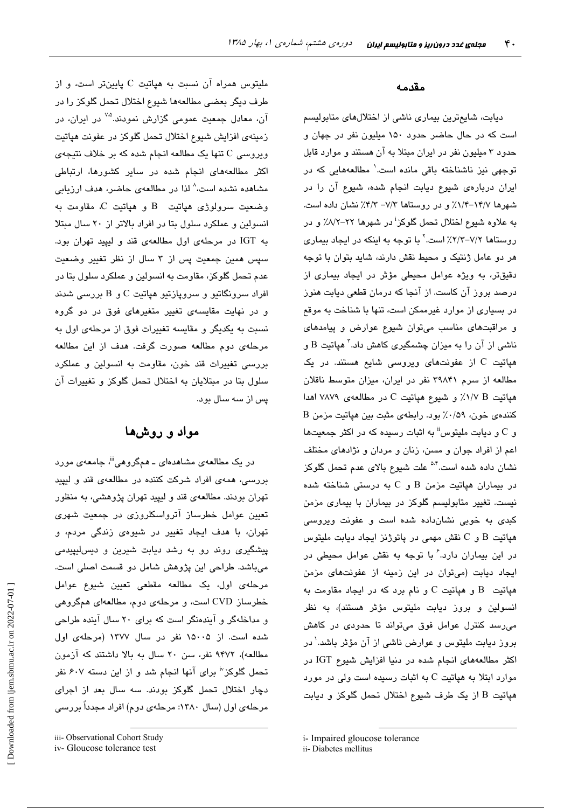ملیتوس همراه آن نسبت به هپاتیت C پایینتر است، و از طرف دیگر بعضی مطالعهها شیوع اختلال تحمل گلوکز را در آن، معادل جمعیت عمومی گزارش نمودند.<sup>۵.۷</sup> در ایران، در زمینهی افزایش شیوع اختلال تحمل گلوکز در عفونت هپاتیت ویروسی C تنها یک مطالعه انجام شده که بر خلاف نتیجهی اکثر مطالعههای انجام شده در سایر کشورها، ارتباطی مشاهده نشده است،<sup>۸</sup> لذا در مطالعهی حاضر، هدف ارزیابی  $\mathcal C$  وضعت سرولوژی هیاتت  $\mathcal B$  و هیاتت  $\mathcal C$  مقاومت به انسولین و عملکرد سلول بتا در افراد بالاتر از ٢٠ سال مبتلا به IGT در مرحلهی اول مطالعهی قند و لیپید تهران بود. سپس همین جمعیت پس از ۳ سال از نظر تغییر وضعیت عدم تحمل گلوکز، مقاومت به انسولین و عملکرد سلول بتا در افراد سرونگاتیو و سروپازتیو هپاتیت  $\rm C$  و  $\rm B$  بررسی شدند و در نهایت مقای*سهی* تغییر متغیرهای فوق در دو گروه نسبت به یکدیگر و مقایسه تغییرات فوق از مرحلهی اول به مرحلهی دوم مطالعه صورت گرفت. هدف از این مطالعه بررسی تغییرات قند خون، مقاومت به انسولین و عملکرد سلول بتا در مبتلایان به اختلال تحمل گلوکز و تغییرات آن پس از سه سال بود.

## مواد و روشها

در یک مطالعهی مشاهدهای ــ همگروهی'''، جامعهی مورد بررسی، همهی افراد شرکت کننده در مطالعهی قند و لیپید تهران بودند. مطالعهی قند و لیپید تهران پژوهشی، به منظور تعیین عوامل خطرساز آترواسکلروزی در جمعیت شهری تهران، با هدف ایجاد تغییر در شیوهی زندگی مردم، و پیشگیری روند رو به رشد دیابت شیرین و دیس لیپیدمی میباشد. طراحی این پژوهش شامل دو قسمت اصلی است. مرحلهی اول، یک مطالعه مقطعی تعیین شیوع عوامل خطرساز CVD است، و مرحلهی دوم، مطالعهای همگروهی و مداخلهگر و آیندهنگر است که برای ۲۰ سال آینده طراحی شده است. از ۱۵۰۰۵ نفر در سال ۱۳۷۷ (مرحلهی اول مطالعه)، ۹۴۷۲ نفر، سن ۲۰ سال به بالا داشتند که آزمون تحمل گلوکز" برای آنها انجام شد و از این دسته ۶۰۷ نفر دچار اختلال تحمل گلوکز بودند. سه سال بعد از اجرای مرحلهی اول (سال ۱۳۸۰: مرحلهی دوم) افراد مجدداً بررسی

### مقدمه

دیابت، شایعترین بیماری ناشی از اختلالهای متابولیسم است که در حال حاضر حدود ١۵٠ میلیون نفر در جهان و حدود ۳ میلیون نفر در ایران مبتلا به آن هستند و موارد قابل توجهی نیز ناشناخته باقی مانده است.<sup>\</sup> مطالعههایی که در ایران دربارهی شیوع دیابت انجام شده، شیوع آن را در شهرها ۰۱۴/۷–۱/۴٪ و در روستاها ۷/۳– ۴/۳٪ نشان داده است. به علاوه شیوع اختلال تحمل گلوکز<sup>:</sup> در شهرها ۲۲–۸/۲٪ و در روستاها ۷/۲-۲/۳٪ است.<sup>۲</sup> با توجه به اینکه در ایجاد بیماری هر دو عامل ژنتیک و محیط نقش دارند، شاید بتوان با توجه دقیقتر، به ویژه عوامل محیطی مؤثر در ایجاد بیماری از درصد بروز آن کاست. از آنجا که درمان قطعی دیابت هنوز در بسیاری از موارد غیرممکن است، تنها با شناخت به موقع و مراقبتهای مناسب میتوان شیوع عوارض و پیامدهای ناشمی از آن را به میزان چشمگیری کاهش داد.<sup>۲</sup> هپاتیت B و هپاتیت C از عفونتهای ویروسی شایع هستند. در یک مطالعه از سرم ۳۹۸۴۱ نفر در ایران، میزان متوسط ناقلان هپاتیت V/V B/ و شیوع هپاتیت C در مطالعهی ۷۸۷۹ اهدا كنندهي خون، ١٥٩٪ بود. رابطهي مثبت بين هياتيت مزمن B و C و دیابت ملیتوس" به اثبات رسیده که در اکثر جمعیتها اعم از افراد جوان و مسن، زنان و مردان و نژادهای مختلف نشان داده شده است.<sup>۵۰۴</sup> علت شیوع بالای عدم تحمل گلوکز در بیماران هپاتیت مزمن  $B$  و  $C$  به درستی شناخته شده نیست. تغییر متابولیسم گلوکز در بیماران با بیماری مزمن کبدی به خوبی نشانداده شده است و عفونت ویروسی  $C_0$  هپاتیت  $B_1$  و  $C_2$  نقش مهمی در پاتوژنز ایجاد دیابت ملیتوس در این بیماران دارد. ٔ با توجه به نقش عوامل محیطی در ابجاد دیایت (میتوان در این زمینه از عفونتهای مزمن هپاتیت  $\, {\bf B} \,$  و هپاتیت  $\, {\bf C} \,$  و نام برد که در ایجاد مقاومت به انسولین و بروز دیابت ملیتوس مؤثر هستند)، به نظر میرسد کنترل عوامل فوق میتواند تا حدودی در کاهش بروز دیابت ملیتوس و عوارض ناشی از آن مؤثر باشد.<sup>۱</sup> در اکثر مطالعههای انجام شده در دنیا افزایش شیوع IGT در موارد ابتلا به هپاتیت C به اثبات رسیده است ولی در مورد هپاتیت B از یک طرف شیوع اختلال تحمل گلوکز و دیابت

iii- Observational Cohort Study

iv-Gloucose tolerance test

i- Impaired gloucose tolerance

ii- Diabetes mellitus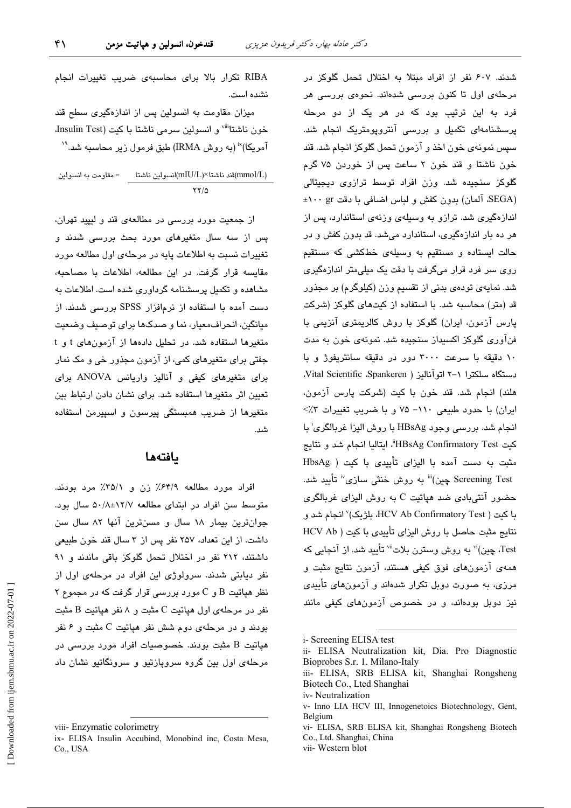RIBA تكرار بالا براى محاسبهى ضريب تغييرات انجام نشده است. میزان مقاومت به انسولین پس از اندازهگیری سطح قند خون ناشتا"" و انسولین سرمی ناشتا با کیت (Insulin Test،

تند ناشتا×(mIU/L)انسولىن ناشتا(mIU/L) = مقاومت به انسولين  $\frac{8}{10}$ 

آمريكا)" (به روش IRMA) طبق فرمول زير محاسبه شد."

از جمعیت مورد بررسی در مطالعهی قند و لیپید تهران، یس از سه سال متغیرهای مورد بحث بررسی شدند و تغییرات نسبت به اطلاعات پایه در مرحلهی اول مطالعه مورد مقایسه قرار گرفت. در این مطالعه، اطلاعات با مصاحبه، مشاهده و تکمیل پرسشنامه گرداوری شده است. اطلاعات به دست آمده با استفاده از نرمافزار SPSS بررسی شدند. از میانگین، انحراف معیار، نما و صدکها برای توصیف وضعیت متغیرها استفاده شد. در تحلیل دادهها از آزمونهای t و t جفتی برای متغیرهای کمی، از آزمون مجذور خی و مک نمار برای متغیرهای کیفی و آنالیز واریانس ANOVA برای تعیین اثر متغیرها استفاده شد. برای نشان دادن ارتباط بین متغیرها از ضریب همبستگی پیرسون و اسپیرمن استفاده شد.

## يافتهها

افراد مورد مطالعه ۶۴/۹٪ زن و ۳۵/۱٪ مرد بودند. متوسط سن افراد در ابتدای مطالعه ۵۰/۸±۸۰/۸ سال بود. جوانترین بیمار ۱۸ سال و مسنترین آنها ۸۲ سال سن داشت. از این تعداد، ۲۵۷ نفر پس از ۳ سال قند خون طبیعی داشتند، ۲۱۲ نفر در اختلال تحمل گلوکز باقی ماندند و ۹۱ نفر دیابتی شدند. سرولوژی این افراد در مرحلهی اول از نظر هپاتیت B و C مورد بررسی قرار گرفت که در مجموع ۲ نفر در مرحلهی اول هپاتیت  $\rm C$  مثبت و ۸ نفر هپاتیت  $\rm B$  مثبت بودند و در مرحلهی دوم شش نفر هیاتیت C مثبت و ۶ نفر هپاتیت B مثبت بودند. خصوصیات افراد مورد بررسی در مرحلهی اول بین گروه سرویازتیو و سرونگاتیو نشان داد شدند. ۶۰۷ نفر از افراد مبتلا به اختلال تحمل گلوکز در مرحلهی اول تا کنون بررسی شدهاند. نحوهی بررسی هر فرد به این ترتیب بود که در هر یک از دو مرحله پرسشنامهای تکمیل و بررسی آنتروپومتریک انجام شد. سپس نمونهی خون اخذ و آزمون تحمل گلوکز انجام شد. قند خون ناشتا و قند خون ۲ ساعت پس از خوردن ۷۵ گرم گلوکز سنجیده شد. وزن افراد توسط ترازوی دیجیتالی (SEGA، آلمان) بدون كفش و لباس اضافى با دقت t١٠٠ اندازهگیری شد. ترازو به وسیلهی وزنهی استاندارد، پس از هر ده بار اندازهگیری، استاندارد میشد. قد بدون کفش و در حالت ایستاده و مستقیم به وسیلهی خطکشی که مستقیم روی سر فرد قرار میگرفت با دقت یک میلی متر اندازهگیری شد. نمایهی تودهی بدنی از تقسیم وزن (کیلوگرم) بر مجذور قد (متر) محاسبه شد. با استفاده از کیتهای گلوکز (شرکت پارس آزمون، ایران) گلوکز با روش کالریمتری آنزیمی با فنآوری گلوکز اکسیداز سنجیده شد. نمونهی خون به مدت ١٠ دقيقه با سرعت ٣٠٠٠ دور در دقيقه سانتريفوژ و با دستگاه سلکترا ۱-۲ اتوآنالیز ( Vital Scientific Spankeren. هلند) انجام شد. قند خون با كيت (شركت پارس آزمون، ایران) با حدود طبیعی ١١٠- ٧۵ و با ضریب تغییرات ٣٪> انجام شد. بررسی وجود HBsAg با روش البزا غربالگری<sup>ن</sup> با كيت HBsAg Confirmatory Test"، ايتاليا انجام شد و نتايج مثبت به دست آمده با الیزای تأییدی با کیت ( HbsAg Screening Test چین)" به روش خنثی سازی″ تأیید شد. حضور آنتی بادی ضد هیاتیت C به روش الیزای غربالگری با كيت ( HCV Ab Confirmatory Test، بلژيک)" انجام شد و نتايج مثبت حاصل يا روش البزاي تأسوي يا كبت ( HCV Ab Test، چین)" به روش وسترن بلات"" تأیید شد. از آنجایی که همهی آزمونهای فوق کیفی هستند، آزمون نتایج مثبت و مرزی، به صورت دوبل تکرار شدهاند و آزمونهای تأییدی نیز دوبل بودهاند، و در خصوص آزمونهای کیفی مانند

viii- Enzymatic colorimetry

ix- ELISA Insulin Accubind, Monobind inc, Costa Mesa, Co., USA

*i*- Screening ELISA test

ii- ELISA Neutralization kit, Dia. Pro Diagnostic Bioprobes S.r. 1. Milano-Italy

iii- ELISA, SRB ELISA kit, Shanghai Rongsheng Biotech Co., Lted Shanghai

iv-Neutralization

v- Inno LIA HCV III, Innogenetoics Biotechnology, Gent, Belgium

vi- ELISA, SRB ELISA kit, Shanghai Rongsheng Biotech Co., Ltd. Shanghai, China

vii- Western blot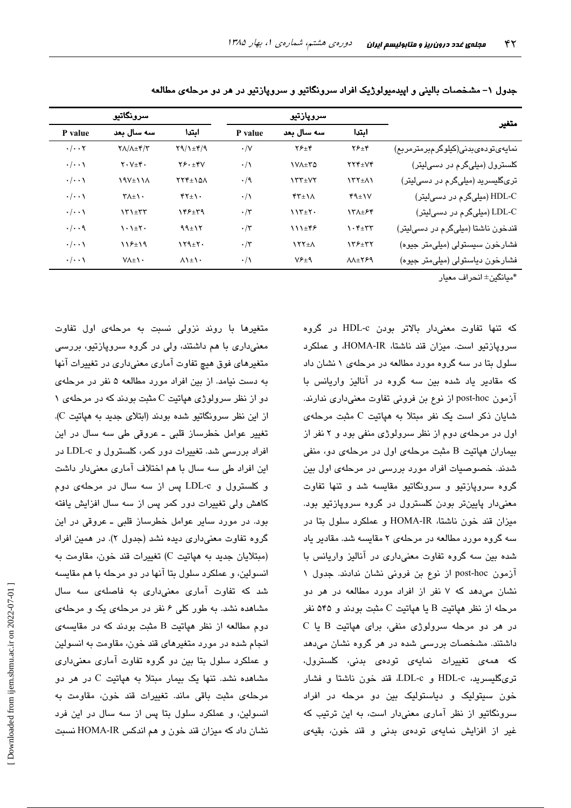|                                   | سروپازتیو                                                 |               | سرونگاتس       |                                   |                                                 |                                 |
|-----------------------------------|-----------------------------------------------------------|---------------|----------------|-----------------------------------|-------------------------------------------------|---------------------------------|
| متغير                             | امتدا                                                     | سه سال بعد    | P value        | امتدا                             | سه سال بعد                                      | P value                         |
| نمايەيتودەيىدنى(كىلوگرمېرمترمرېم) | $Y$ $E$ $+$ $Y$                                           | ۲۶±۴          | $\cdot$ /V     | $Y9/\lambda_{\pm}Y/9$             | $Y/\lambda \pm Y/Y$                             | $\cdot/\cdot\cdot$ $\mathsf{Y}$ |
| کلسترول (میلیگرم در دسیلیتر)      | $\mathsf{Y}\mathsf{Y}\mathsf{f} \pm \mathsf{V}\mathsf{Y}$ | <b>IVA±TQ</b> | $\cdot/\wedge$ | $Y \xi \cdot \pm Y V$             | $Y \cdot V_{\pm} Y \cdot$                       | $\cdot/\cdot\cdot$              |
| تریگلیسرید (میلیگرم در دسیلیتر)   | <b>ITT+11</b>                                             | $\gamma$      | $\cdot/9$      | 174±۱۵۸                           | <b>۱۹۷±۱۱۸</b>                                  | $\cdot/\cdot\cdot$              |
| HDL-C (میلیگرم در دسیلیتر)        | $44 \pm 10$                                               | $YY^{\pm}$    | $\cdot/\gamma$ | $YY_{\pm}$                        | $Y \wedge \pm Y$                                | $\cdot/\cdot\cdot$              |
| LDL-C (میلیگرم در دسیلیتر)        | 131±64                                                    | $117 + 7$     | $\cdot/\tau$   | 148±39                            | $\mathbf{X} \mathbf{Y} + \mathbf{Y} \mathbf{Y}$ | $\cdot/\cdot\cdot$              |
| قندخون ناشتا (میلیگرم در دسیلیتر) | $\lambda \cdot \mathfrak{k}_\pm \mathfrak{r}$             | ۱۱۱±۴۶        | $\cdot/\tau$   | $99 \pm 17$                       | $\lambda \cdot \lambda \pm 1$                   | $\cdot/\cdot\cdot$ 9            |
| فشارخون سیستولی (میلی متر جیوه)   | 138±37                                                    | $\lambda$     | $\cdot/\tau$   | $159 + 7.$                        | $112 + 19$                                      | $\cdot/\cdot\cdot$              |
| فشارخون دياستولى (ميليءتر جيوه)   | $\lambda\lambda \pm \lambda \epsilon$                     | $V F \pm 9$   | $\cdot/\gamma$ | $\lambda$ $\lambda$ + $\lambda$ + | $V \Lambda \pm V$                               | $\cdot/\cdot\cdot$              |

جدول ۱– مشخصات بالینی و اپیدمیولوژیک افراد سرونگاتیو و سروپازتیو در هر دو مرحلهی مطالعه

\*مبانگين± انحر اف معبار

که تنها تفاوت معنیدار بالاتر بودن HDL-c در گروه سروپازتیو است. میزان قند ناشتا، HOMA-IR، و عملکرد سلول بتا در سه گروه مورد مطالعه در مرحلهی ۱ نشان داد که مقادیر یاد شده بین سه گروه در انالیز واریانس با آزمون post-hoc از نوع بن فرونی تفاوت معنیداری ندارند. شایان ذکر است یک نفر مبتلا به هیاتیت C مثبت مرحلهی اول در مرحلهی دوم از نظر سرولوژی منفی بود و ۲ نفر از بيماران هياتيت B مثبت مرحلهى اول در مرحلهى دو، منفى شدند. خصوصیات افراد مورد بررسی در مرحلهی اول بین گروه سروپازتیو و سرونگاتیو مقایسه شد و تنها تفاوت معنی،دار پایینتر بودن کلسترول در گروه سروپازتیو بود. میزان قند خون ناشتا، HOMA-IR و عملکرد سلول بتا در سه گروه مورد مطالعه در مرحلهی ۲ مقایسه شد. مقادیر یاد شده بین سه گروه تفاوت معنیداری در انالیز واریانس با آزمون post-hoc از نوع بن فرونی نشان ندادند. جدول ۱ نشان میدهد که ۷ نفر از افراد مورد مطالعه در هر دو مرحله از نظر هياتيت B يا هياتيت C مثبت بودند و ۵۴۵ نفر  $C$  در هر دو مرحله سرولوژی منفی، برای هیاتیت  $B$  یا داشتند. مشخصات بررسی شده در هر گروه نشان میدهد كه همهى تغييرات نمايهى تودهى بدنى، كلسترول، تریگلیسرید، HDL-c و LDL-c، قند خون ناشتا و فشار خون سیتولیک و دیاستولیک بین دو مرحله در افراد سرونگاتیو از نظر آماری معنیدار است، به این ترتیب که غیر از افزایش نمایهی تودهی بدنی و قند خون، بقیهی

متغیرها با روند نزولی نسبت به مرحلهی اول تفاوت معنیداری با هم داشتند، ولی در گروه سروپازتیو، بررسی متغیرهای فوق هیچ تفاوت اماری معنیداری در تغییرات انها به دست نیامد. از بین افراد مورد مطالعه ۵ نفر در مرحلهی  $\lambda$  دو از نظر سرولوژی هیاتیت  $C$  مثبت بودند که در مرحلهی از این نظر سرونگاتیو شده بودند (ابتلای جدید به هیاتیت C). تغییر عوامل خطرساز قلبی ـ عروقی طی سه سال در این افراد بررسی شد. تغییرات دور کمر، کلسترول و LDL-c در  $\overline{a}$ این افراد طی سه سال با هم اختلاف اماری معنیدار داشت و کلسترول و LDL-c پس از سه سال در مرحلهی دوم کاهش ولی تغییرات دور کمر پس از سه سال افزایش یافته بود. در مورد سایر عوامل خطرساز قلبی ـ عروقی در این گروه تفاوت معنیداری دیده نشد (جدول ۲). در همین افراد (مبتلايان جديد به هپاتيت C) تغييرات قند خون، مقاومت به انسولين، و عملكرد سلول بتا آنها در دو مرحله با هم مقايسه شد که تفاوت امار*ی* معنیداری به فاصلهی سه سال مشاهده نشد. به طور کلی ۶ نفر در مرحلهی یک و مرحلهی  $c$ دوم مطالعه از نظر هیاتیت  $\rm B$  مثبت بودند که در مقایسه انجام شده در مورد متغیرهای قند خون، مقاومت به انسولین و عملکرد سلول بتا بین دو گروه تفاوت آماری معنیداری مشاهده نشد. تنها یک بیمار مبتلا به هیاتیت C در هر دو مرحلهى مثبت باقى ماند. تغييرات قند خون، مقاومت به انسولین، و عملکرد سلول بتا پس از سه سال در این فرد نشان داد که میزان قند خون و هم اندکس HOMA-IR نسبت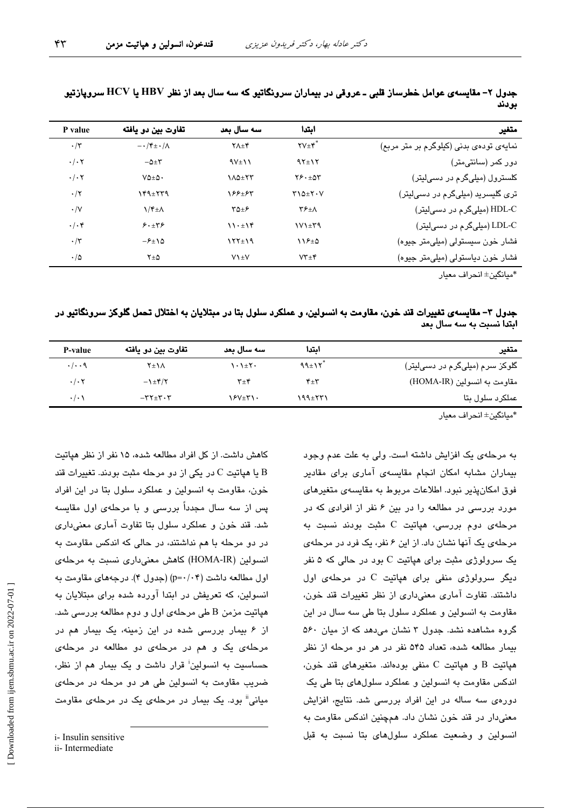| . - .--    | .                                  |                  |                                        | -- -<br>بودند                           |
|------------|------------------------------------|------------------|----------------------------------------|-----------------------------------------|
| value      | تفاوت بین دو یافته                 | سه سال بعد       | اىتدا                                  | متغير                                   |
| $\cdot$ /۳ | $-\cdot$ /۴ $\pm \cdot$ / $\wedge$ | $Y \wedge \pm Y$ | $\mathsf{Y} \mathsf{Y} \pm \mathsf{Y}$ | نمایهی تودهی بدنی (کیلوگرم بر متر مربع) |

| جدول ۲– مقایسهی عوامل خطرساز قلبی ــ عروقی در بیماران سرونگاتیو که سه سال بعد از نظر HBV یا HCV سروپازتیو |  |       |
|-----------------------------------------------------------------------------------------------------------|--|-------|
|                                                                                                           |  | بودند |

دور کمر (سانتیءتر) But a q Bay (سانتیءتر) که (۱۲±۹۲ میسیم تر).۰/۰۲ W @q )qW W%q j 1J

6 V17i> /7 تری گلیسرید (میلیگرم در دسی[یتر) سنسک ۲۱۵±۲۰۷ (۲۴۹–۱۶۶ )۰/۲ $\zeta$ ۲۳۹ )۰/۲ $\zeta$ @ ) q %q % q j 1J

6 V17i'( %q% ))q) )@)qB j 1J

6 V17i((

 A%q) )WWq)B ))% q j80K 17i10/J04: W q @) @q @ q j80K 17i10J
04:

\*مبانگین± انجر اف معبار

جدول ۳– مقایسهی تغییرات قند خون، مقاومت به انسولین، و عملکرد سلول بتا در مبتلایان به اختلال تحمل گلوکز سرونگاتیو در ابتدا نسبت به سه سال بعد

| متغير                          | اىتدا          | اسه سال بعد   | تفاوت بين دو يافته                       | P-value                   |
|--------------------------------|----------------|---------------|------------------------------------------|---------------------------|
| گلوکز سرم (میلیگرم در دسی!یتر) | $99 \pm 15$    | <b>1.1±۲۰</b> | ۲±۱۸                                     | $\cdot/\cdot\cdot$ 9      |
| مقاومت به انسولين (HOMA-IR)    | ۴±۳            | $\mathbf{y}$  | $-\lambda \pm \mathfrak{r}/\mathfrak{r}$ | $\cdot$ / $\cdot$ $\cdot$ |
| عملکرد سلول بتا                | <b>۱۹۹±۲۳۱</b> | ۱۶۷±۳۱۰       | $-\tau\tau_{\pm}\tau\cdot\tau$           | $\cdot/\cdot$             |
|                                |                |               |                                          |                           |

\*مبانگین± انجر اف معبار

به مرحلهی یک افزایش داشته است. ولی به علت عدم وجود بیماران مشابه امکان انجام مقایسهی آماری برای مقادیر فوق امکان،ذیر نبود. اطلاعات مربوط به مقایسهی متغیرهای مورد بررسی در مطالعه را در بین ۶ نفر از افرادی که در  $\mathbf c$  مرحلهی دوم بررسی، هیاتیت  $\mathbf c$  مثبت بودند نسبت به مرحلهی یک انها نشان داد. از این ۶ نفر، یک فرد در مرحلهی یک سرولوژی مثبت برای هپاتیت C بود در حالی که ۵ نفر دیگر سرولوژی منفی برای هیاتیت C در مرحلهی اول داشتند. تفاوت آماری معنیداری از نظر تغییرات قند خون، مقاومت به انسولین و عملکرد سلول بتا طی سه سال در این گروه مشاهده نشد. جدول ۳ نشان میدهد که از میان ۵۶۰ بیمار مطالعه شده، تعداد ۵۴۵ نفر در هر دو مرحله از نظر  $\cdot$ هپاتیت  $\overline{B}$  و هپاتیت  $C$  منفی بودهاند. متغیرهای قند خون اندکس مقاومت به انسولین و عملکرد سلولهای بتا طی یک دورهی سه ساله در این افراد بررسی شد. نتایج، افزایش معنىدار در قند خون نشان داد. همچنین اندکس مقاومت به انسولین و وضعیت عملکرد سلولهای بتا نسبت به قبل

کاهش داشت. از کل افراد مطالعه شده، ۱۵ نفر از نظر هپاتیت یا هیاتیت C در یکی از دو مرحله مثبت بودند. تغییرات قند B خون، مقاومت به انسولین و عملکرد سلول بتا در این افراد پس از سه سال مجدداً بررسی و با مرحلهی اول مقایسه شد. قند خون و عملکرد سلول بتا تفاوت آماری معنیداری در دو مرحله با هم نداشتند، در حالی که اندکس مقاومت به انسولین (HOMA-IR) کاهش معنیداری نسبت به مرحلهی اول مطالعه داشت (p=٠/٠۴) (جدول ۴). درجههای مقاومت به انسولین، که تعریفش در ابتدا آورده شده برای مبتلایان به  $\rm B$  هپاتیت مزمن  $\rm B$  طی مرحلهی اول و دوم مطالعه بررسی شد. از ۶ بیمار بررسی شده در این زمینه، یک بیمار هم در مرحلهی یک و هم در مرحلهی دو مطالعه در مرحلهی حساسیت به انسولین<sup>:</sup> قرار داشت و یک بیمار هم از نظر، ضريب مقاومت به انسولين طي هر دو مرحله در مرحلهي میانی" بود. یک بیمار در مرحلهی یک در مرحلهی مقاومت

**P** value

i- Insulin sensitive

ii- Intermediate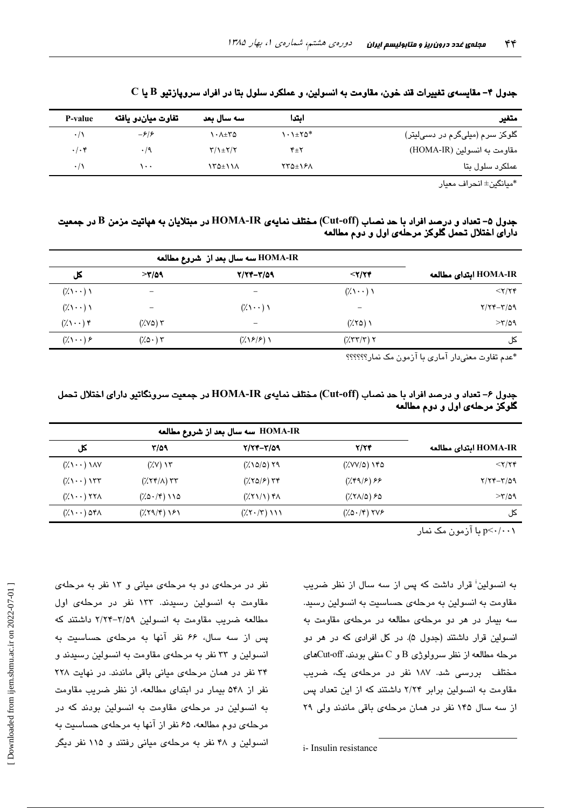| متغير                          | اىتدا                            | اسه سال بعد         | تفاوت مياندو يافته       | P-value     |
|--------------------------------|----------------------------------|---------------------|--------------------------|-------------|
| گلوکز سرم (میلیگرم در دسی!یتر) | $\lambda \cdot \lambda \pm 70^*$ | ۱۰۸±۳۵              | $-\frac{\mathcal{L}}{2}$ | $\cdot/$    |
| مقاومت به انسولين (HOMA-IR)    | $Y_{\pm}Y$                       | $Y/\lambda \pm Y/Y$ | $\cdot$ /9               | $.$ / $.$ ۴ |
| عملکرد سلول بتا                | <b>XYA±161</b>                   | ١٣٥±١١٨             | ۰۰ ۱                     | $\cdot$ /   |

 $\rm C$  جدول ۴– مقايسهي تغييرات قند خون، مقاومت به انسولين، و عملكرد سلول بتا در افراد سروپازتيو  $\rm B$  يا

\*ميانگين± انحراف معيار

### جدول ۵– تعداد و درصد افراد با حد نصاب (Cut-off) مختلف نمایهی HOMA-IR در مبتلایان به هپاتیت مزمن B در جمعیت دارای اختلال تحمل گلوکز مرحلهی اول و دوم مطالعه

| کل                                  | >7/09                | $Y/YY-Y/\Omega$ 9                 | $<$ ۲/۲۴                                                   | HOMA-IR ابتداى مطالعه |
|-------------------------------------|----------------------|-----------------------------------|------------------------------------------------------------|-----------------------|
| $(\lambda \setminus \cdot \cdot)$   |                      |                                   | $(\lambda \setminus \cdot \cdot)$                          | $<$ ۲/۲۴              |
| $(\lambda \setminus \cdot \cdot)$   |                      | $(\lambda \setminus \cdot \cdot)$ |                                                            | $Y/YY-Y/\Omega$ 9     |
| $(\lambda \setminus \cdot \cdot)$ ۴ | ۲ (۷۵٪)              |                                   | (7.70)                                                     | $>$ $\frac{1}{0}$     |
| $(\lambda \setminus \cdot \cdot)$ ۶ | $(7.0 \cdot)$ $\tau$ | $(\lambda \frac{5}{2})$           | $(\frac{1}{2}\nabla \mathbf{r} + \mathbf{r})$ $\mathbf{r}$ | کل                    |

\*عدم تفاوت معنیدار آماری با آزمون مک نمار؟؟؟؟؟؟

## جدول ۶- تعداد و درصد افراد با حد نصاب (Cut-off) مختلف نمایهی HOMA-IR در جمعیت سرونگاتیو دارای اختلال تحمل گلوکز مرحلهی اول و دوم مطالعه

| کل                                                                    | ۳/۵۹                                                                                                                                                                                                                                                                                                                                                                                          | 7/۲۴-۳/۵۹                                                     | 7/74                                                | HOMA-IR اىتداى مطالعه                |
|-----------------------------------------------------------------------|-----------------------------------------------------------------------------------------------------------------------------------------------------------------------------------------------------------------------------------------------------------------------------------------------------------------------------------------------------------------------------------------------|---------------------------------------------------------------|-----------------------------------------------------|--------------------------------------|
| $(\lambda \setminus \cdot \cdot) \setminus \wedge \vee$               | $(Y,Y)$ $Y'$                                                                                                                                                                                                                                                                                                                                                                                  | $(\frac{1}{200})$ 19                                          | $(\frac{1}{2}VV/\Delta)$ ) $Y\Delta$                | $<$ $\uparrow$ $\uparrow$ $\uparrow$ |
| $(\lambda \setminus \cdot \cdot)$ $\setminus$ $\setminus$ $\setminus$ | $(\frac{1}{2}(\lambda) + \lambda)$                                                                                                                                                                                                                                                                                                                                                            | $(X \cap \mathcal{S})$ $Y \cap \mathcal{S}$                   |                                                     | $Y/YY-Y/\Omega$ 9                    |
| $(\lambda \setminus \cdot \cdot)$ $\forall \forall \lambda$           | $(\frac{1}{2} \Delta \cdot (\mathfrak{f}) \setminus \Delta)$                                                                                                                                                                                                                                                                                                                                  | $(\frac{1}{2}(\frac{1}{2}(\frac{1}{2})))$ $f \wedge$          | $(\frac{1}{2}(\frac{1}{2}(\Delta)^{2})$ $\approx$ 0 | $>$ $\frac{1}{0}$                    |
| $(\lambda \setminus \cdot \cdot)$ of $\lambda$                        | $(\frac{1}{2}(\frac{1}{2}(\frac{1}{2}+\frac{1}{2}(\frac{1}{2}+\frac{1}{2}+\frac{1}{2}+\frac{1}{2}+\frac{1}{2}+\frac{1}{2}+\frac{1}{2}+\frac{1}{2}+\frac{1}{2}+\frac{1}{2}+\frac{1}{2}+\frac{1}{2}+\frac{1}{2}+\frac{1}{2}+\frac{1}{2}+\frac{1}{2}+\frac{1}{2}+\frac{1}{2}+\frac{1}{2}+\frac{1}{2}+\frac{1}{2}+\frac{1}{2}+\frac{1}{2}+\frac{1}{2}+\frac{1}{2}+\frac{1}{2}+\frac{1}{2}+\frac{$ | $(\frac{1}{2}(\mathbf{Y}\cdot\mathbf{Y})\setminus\mathbf{Y})$ | $(\sqrt{2} \cdot 5 \cdot 7)$ TVS                    | کل                                   |

 $p<\cdot/\cdot\cdot$ با آزمون مک نمار

به انسولین<sup>:</sup> قرار داشت که پس از سه سال از نظر ضریب مقاومت به انسولین به مرحلهی حساسیت به انسولین رسید. سه بیمار در هر دو مرحلهی مطالعه در مرحلهی مقاومت به انسولین قرار داشتند (جدول ۵). در کل افرادی که در هر دو مرحله مطالعه از نظر سرولوژی B و C منفی بودند، Cut-offکهای مختلف بررسی شد. ۱۸۷ نفر در مرحلهی یک، ضریب مقاومت به انسولین برابر ۲/۲۴ داشتند که از این تعداد پس از سه سال ۱۴۵ نفر در همان مرحلهی باقی ماندند ولی ۲۹

نفر در مرحلهی دو به مرحلهی میانی و ۱۳ نفر به مرحلهی مقاومت به انسولین رسیدند. ۱۳۳ نفر در مرحلهی اول مطالعه ضريب مقاومت به انسولين ٣/٥٩-٢/٢٣ داشتند كه یس از سه سال، ۶۶ نفر آنها به مرحلهی حساسیت به انسولین و ۳۳ نفر به مرحلهی مقاومت به انسولین رسیدند و ٣۴ نفر در همان مرحلهى ميانى باقى ماندند. در نهايت ٢٢٨ نفر از ۵۴۸ بیمار در ابتدای مطالعه، از نظر ضریب مقاومت به انسولین در مرحلهی مقاومت به انسولین بودند که در مرحلهی دوم مطالعه، ۶۵ نفر از آنها به مرحلهی حساسیت به انسولین و ۴۸ نفر به مرحلهی میانی رفتند و ۱۱۵ نفر دیگر

i-Insulin resistance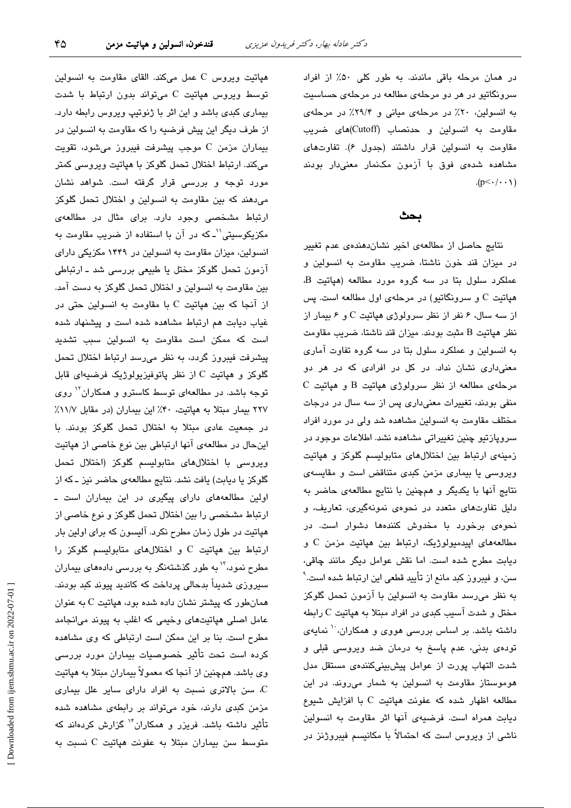در همان مرحله باقی ماندند. به طور کلی ۵۰٪ از افراد سرونگاتیو در هر دو مرحلهی مطالعه در مرحلهی حساسیت به انسولین، ٢٠٪ در مرحلهی میانی و ٢٩/۴٪ در مرحلهی مقاومت به انسولین و حدنصاب (Cutoff)های ضریب مقاومت به انسولین قرار داشتند (جدول ۶). تفاوتهای مشاهده شدهی فوق با آزمون مکنمار معنیدار بودند  $(p<\cdot/\cdot\cdot)$ 

#### ىحث

نتایج حاصل از مطالعهی اخیر نشان دهندهی عدم تغییر در میزان قند خون ناشتا، ضریب مقاومت به انسولین و عملکرد سلول بتا در سه گروه مورد مطالعه (هپاتیت B، هپاتیت C و سرونگاتیو) در مرحلهی اول مطالعه است. پس از سه سال، ۶ نفر از نظر سرولوژی هپاتیت C و ۶ بیمار از نظر هپاتیت B مثبت بودند. میزان قند ناشتا، ضریب مقاومت به انسولین و عملکرد سلول بتا در سه گروه تفاوت آماری معنیداری نشان نداد. در کل در افرادی که در هر دو  $C$  مرحلهی مطالعه از نظر سرولوژی هپاتیت  $B$  و هپاتیت منفی بودند، تغییرات معنیداری پس از سه سال در درجات مختلف مقاومت به انسولین مشاهده شد ولی در مورد افراد سروپازتیو چنین تغییراتی مشاهده نشد. اطلاعات موجود در زمینهی ارتباط بین اختلالهای متابولیسم گلوکز و هپاتیت ویروسی یا بیماری مزمن کبدی متناقض است و مقایسهی نتايج آنها با يكديگر و همچنين با نتايج مطالعهي حاضر به دلیل تفاوتهای متعدد در نحوهی نمونهگیری، تعاریف، و نحوهی برخورد با مخدوش کنندهها دشوار است. در مطالعههای اپیدمیولوژیک، ارتباط بین هپاتیت مزمن C و دیابت مطرح شده است. اما نقش عوامل دیگر مانند چاقی، سن، و فیبروز کبد مانع از تأیید قطعی این ارتباط شده است. ٌ به نظر میرسد مقاومت به انسولین با آزمون تحمل گلوکز مختل و شدت آسیب کبدی در افراد مبتلا به هپاتیت C رابطه داشته باشد. بر اساس بررسی هووی و همکاران، `` نمایهی تودهی بدنی، عدم پاسخ به درمان ضد ویروسی قبلی و شدت التهاب پورت از عوامل پیشبینیکنندهی مستقل مدل هوموستاز مقاومت به انسولین به شمار میروند. در این مطالعه اظهار شده كه عفونت هياتيت C با افزايش شيوع دیابت همراه است. فرضیهی آنها اثر مقاومت به انسولین ناشی از ویروس است که احتمالاً با مکانیسم فیبروژنز در

هپاتیت ویروس C عمل میکند. القای مقاومت به انسولین توسط ویروس هپاتیت C میتواند بدون ارتباط با شدت بیماری کبدی باشد و این اثر با ژنوتیپ ویروس رابطه دارد. از طرف دیگر این پیش فرضیه را که مقاومت به انسولین در بیماران مزمن C موجب پیشرفت فیبروز میشود، تقویت میکند. ارتباط اختلال تحمل گلوکز با هپاتیت ویروسی کمتر مورد توجه و بررسی قرار گرفته است. شواهد نشان می دهند که بین مقاومت به انسولین و اختلال تحمل گلوکز ارتباط مشخصی وجود دارد. برای مثال در مطالعهی مکزیکوسیتی``ـ که در آن با استفاده از ضریب مقاومت به انسولین، میزان مقاومت به انسولین در ۱۴۴۹ مکزیکی دارای آزمون تحمل گلوکز مختل یا طبیعی بررسی شد ـ ارتباطی بین مقاومت به انسولین و اختلال تحمل گلوکز به دست آمد. از آنجا که بین هپاتیت C با مقاومت به انسولین حتی در غیاب دیابت هم ارتباط مشاهده شده است و پیشنهاد شده است كه ممكن است مقاومت به انسولين سبب تشديد پیشرفت فیبروز گردد، به نظر میرسد ارتباط اختلال تحمل گلوکز و هپاتیت C از نظر پاتوفیزیولوژیک فرضیهای قابل توجه باشد. در مطالعهای توسط کاسترو و همکاران<sup>۱٬</sup> روی ٢٢٧ بيمار مبتلا به هپاتيت، ۴٠٪ اين بيماران (در مقابل ١١/٧٪ در جمعت عادی مبتلا به اختلال تحمل گلوکز بودند. با اینحال در مطالعهی آنها ارتباطی بین نوع خاصی از هپاتیت ویروسی با اختلالهای متابولیسم گلوکز (اختلال تحمل گلوکز یا دیابت) یافت نشد. نتایج مطالعهی حاضر نیز ـ که از اولین مطالعههای دارای پیگیری در این بیماران است ـ ارتباط مشخصی را بین اختلال تحمل گلوکز و نوع خاصی از هپاتیت در طول زمان مطرح نکرد. آلیسون که برای اولین بار ارتباط بين هياتيت C و اختلال هاى متابوليسم گلوكز را مطرح نمود،<sup>۱۲</sup> به طور گذشتهنگر به بررس*ی* دادههای بیماران سیروزی شدیداً بدحالی پرداخت که کاندید پیوند کبد بودند. همانطور که پیشتر نشان داده شده بود، هپاتیت C به عنوان عامل اصلی هپاتیتهای وخیمی که اغلب به پیوند میانجامد مطرح است. بنا بر این ممکن است ارتباطی که وی مشاهده کرده است تحت تأثیر خصوصیات بیماران مورد بررسی وی باشد. همچنین از آنجا که معمولاً بیماران مبتلا به هپاتیت . سن بالاترى نسبت به افراد داراى ساير علل بيمارى مزمن کبدی دارند، خود میتواند بر رابطهی مشاهده شده تأثیر داشته باشد. فریزر و همکاران<sup>۱۴</sup> گزارش کردهاند که متوسط سن بیماران مبتلا به عفونت هپاتیت C نسبت به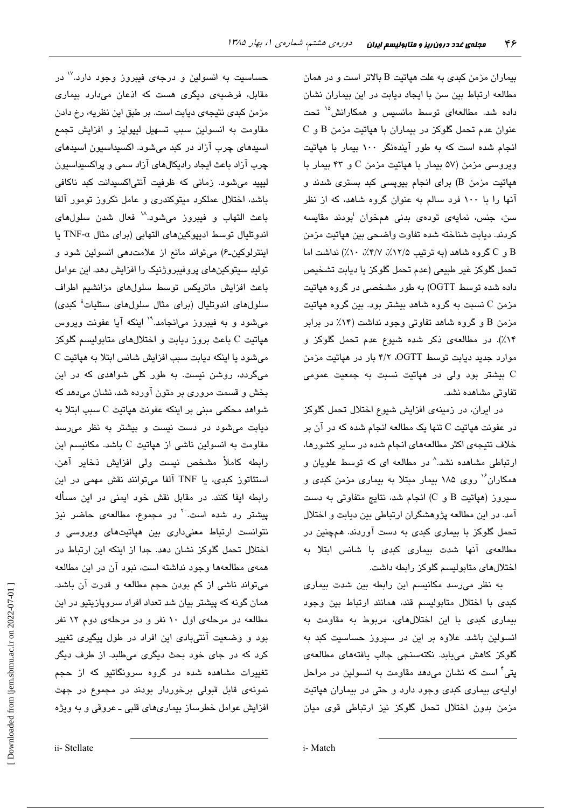بیماران مزمن کبدی به علت هپاتیت B بالاتر است و در همان مطالعه ارتباط بین سن با ایجاد دیابت در این بیماران نشان داده شد. مطالعهای توسط مانسیس و همکارانش<sup>۱۵</sup> تحت  $C$  عنوان عدم تحمل گلوکز در بیماران با هپاتیت مزمن B و انجام شده است که به طور آیندهنگر ۱۰۰ بیمار با هپاتیت ویروسی مزمن (۵۷ بیمار با هپاتیت مزمن C و ۴۳ بیمار با هپاتیت مزمن B) برای انجام بیوپسی کبد بستری شدند و آنها را با ۱۰۰ فرد سالم به عنوان گروه شاهد، که از نظر سن، جنس، نمایهی تودهی بدنی همخوان <sup>ن</sup>بودند مقایسه كردند. ديابت شناخته شده تفاوت واضحى بين هپاتيت مزمن  $C$  و  $C$  گروه شاهد (به ترتیب ۱۲/۵٪، ۴/۷٪، ۱۰٪) نداشت اما تحمل گلوکز غیر طبیعی (عدم تحمل گلوکز یا دیابت تشخیص داده شده توسط OGTT) به طور مشخصی در گروه هیاتیت مزمن C نسبت به گروه شاهد بیشتر بود. بین گروه هپاتیت مزمن B و گروه شاهد تفاوتی وجود نداشت (۱۴٪ در برابر ۰۱۴٪). در مطالعهی ذکر شده شیوع عدم تحمل گلوکز و موارد جدید دیابت توسط OGTT، ۴/۲ بار در هپاتیت مزمن ریشتر بود ولی در هپاتیت نسبت به جمعیت عمومی C تفاوتی مشاهده نشد.

در ایران، در زمینهی افزایش شیوع اختلال تحمل گلوکز در عفونت هپاتیت C تنها یک مطالعه انجام شده که در آن بر خلاف نتیجهی اکثر مطالعههای انجام شده در سایر کشورها، ارتباطی مشاهده نشد.^ در مطالعه ای که توسط علویان و همکاران ٔ روی ۱۸۵ بیمار مبتلا به بیماری مزمن کبدی و سیروز (هپاتیت B و C) انجام شد، نتایج متفاوتی به دست آمد. در این مطالعه پژوهشگران ارتباطی بین دیابت و اختلال تحمل گلوکز با بیماری کبدی به دست آوردند. همچنین در مطالعهی آنها شدت بیماری کبدی با شانس ابتلا به اختلال های متابولیسم گلوکز رابطه داشت.

به نظر می رسد مکانیسم این رابطه بین شدت بیماری کبدی با اختلال متابولیسم قند، همانند ارتباط بین وجود بیماری کبدی با این اختلال های، مربوط به مقاومت به انسولین باشد. علاوه بر این در سیروز حساسیت کبد به گلوكز كاهش مىيابد. نكتەسنجى جالب يافتە*ھاى* مطالعە*ى* پتی ٔ است که نشان میدهد مقاومت به انسولین در مراحل اولیهی بیماری کبدی وجود دارد و حتی در بیماران هپاتیت مزمن بدون اختلال تحمل گلوکز نیز ارتباطی قوی میان

حساسیت به انسولین و درجهی فیبروز وجود دارد.<sup>۱۷</sup> در مقابل، فرضیهی دیگری هست که اذعان میدارد بیماری مزمن کبدی نتیجهی دیابت است. بر طبق این نظریه، رخ دادن مقاومت به انسولین سبب تسهیل لیپولیز و افزایش تجمع اسپدهای چرب آزاد در کبد میشود. اکسپداسپون اسپدهای چرب آزاد باعث ایجاد رادیکالهای آزاد سمی و پراکسیداسیون لیپید میشود. زمانی که ظرفیت آنتیاکسیدانت کبد ناکافی باشد، اختلال عملکرد میتوکندری و عامل نکروز تومور آلفا باعث التهاب و فيبروز مىشود. ١٨ فعال شدن سلولهاى اندوتليال توسط اديپوكينهاى التهابي (براي مثال TNF-α يا اینترلوکین-۶) میتواند مانع از علامتدهی انسولین شود و تولید سیتوکینهای پروفیبروژنیک را افزایش دهد. این عوامل باعث افزایش ماتریکس توسط سلولهای مزانشیم اطراف سلولهای اندوتلیال (برای مثال سلولهای ستلیات<sup>ة</sup> کبدی) می شود و به فیبروز می انجامد. ۱٬ اینکه آیا عفونت ویروس هپاتیت C باعث بروز دیابت و اختلالهای متابولیسم گلوکز C می شود یا اینکه دیابت سبب افزایش شانس ابتلا به هپاتیت میگردد، روشن نیست. به طور کلی شواهدی که در این بخش و قسمت مروری بر متون آورده شد، نشان میدهد که شواهد محکمی مبنی بر اینکه عفونت هپاتیت C سبب ابتلا به دیابت می شود در دست نیست و بیشتر به نظر می رسد مقاومت به انسولین ناشی از هپاتیت C باشد. مکانیسم این رابطه كاملاً مشخص نيست ولى افزايش ذخاير آهن، استئاتوز کبدی، یا TNF آلفا میتوانند نقش مهمی در این رابطه ایفا کنند. در مقابل نقش خود ایمنی در این مسأله پیشتر رد شده است.<sup>۲۰</sup> در مجموع، مطالعهی حاضر نیز .<br>نتوانست ارتباط معنیداری بین هپاتیتهای ویروسی و اختلال تحمل گلوکز نشان دهد. جدا از اینکه این ارتباط در همهی مطالعهها وجود نداشته است، نبود آن در این مطالعه میتواند ناشی از کم بودن حجم مطالعه و قدرت آن باشد. همان گونه که پیشتر بیان شد تعداد افراد سروپازیتیو در این مطالعه در مرحلهی اول ١٠ نفر و در مرحلهی دوم ١٢ نفر بود و وضعیت آنتیبادی این افراد در طول پیگیری تغییر کرد که در جای خود بحث دیگری میطلبد. از طرف دیگر تغییرات مشاهده شده در گروه سرونگاتیو که از حجم نمونهی قابل قبولی برخوردار بودند در مجموع در جهت افزایش عوامل خطرساز بیماریهای قلبی ـ عروقی و به ویژه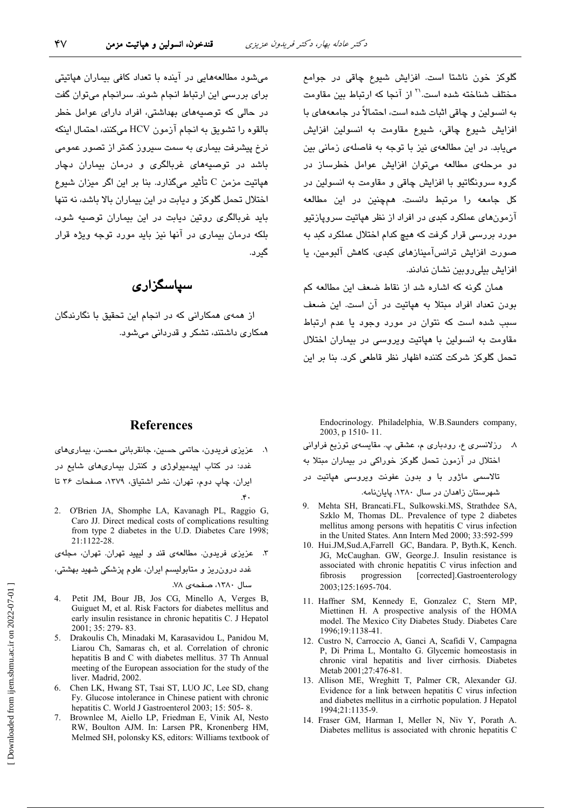گىر د.

می شود مطالعههایی در آینده با تعداد کافی بیماران هیاتیتی

برای بررسی این ارتباط انجام شوند. سرانجام می توان گفت

در حالی که توصیههای بهداشتی، افراد دارای عوامل خطر

بالقوه را تشويق به انجام آزمون HCV ميكنند، احتمال اينكه

نرخ پیشرفت بیماری به سمت سیروز کمتر از تصور عمومی

باشد در توصیههای غربالگری و درمان بیماران دچار

هياتيت مزمن C تأثير ميگذارد. بنا بر اين اگر ميزان شيوع

اختلال تحمل گلوکز و دیابت در این بیماران بالا باشد، نه تنها باید غربالگری روتین دیایت در این بیماران توصیه شود،

بلکه درمان بیماری در آنها نیز باید مورد توجه ویژه قرار

سياسگزاري

از همهی همکارانی که در انجام این تحقیق با نگارندگان

گلوکز خون ناشتا است. افزایش شیوع چاقی در جوامع مختلف شناخته شده است.'` از آنجا که ارتباط بین مقاومت به انسولین و چاقی اثبات شده است، احتمالاً در جامعههای با افزايش شيوع چاقى، شيوع مقاومت به انسولين افزايش میبابد. در این مطالعهی نیز با توجه به فاصلهی زمانی بین دو مرحلهی مطالعه می توان افزایش عوامل خطرساز در گروه سرونگاتیو با افزایش چاقی و مقاومت به انسولین در کل جامعه را مرتبط دانست. همچنین در این مطالعه آزمونهای عملکرد کندی در افراد از نظر هیاتنت سرویازتنو مورد بررسی قرار گرفت که هیچ کدام اختلال عملکرد کبد به صورت افزایش ترانسآمینازهای کبدی، کاهش آلبومین، یا افزایش بیلی روبین نشان ندادند.

همان گونه که اشاره شد از نقاط ضعف این مطالعه کم بودن تعداد افراد مبتلا به هیاتیت در آن است. این ضعف سبب شده است که نتوان در مورد وجود یا عدم ارتباط مقاومت به انسولین با هپاتیت ویروسی در بیماران اختلال تحمل گلوکز شرکت کننده اظهار نظر قاطعی کرد. بنا بر این

همکاری داشتند، تشکر و قدر دانی می شود.

## **References**

١. عزيزي فريدون، حاتمي حسين، جانقرباني محسن، بيماريهاي غدد: در کتاب ایپدمیولوژی و کنترل بیماریهای شایع در ایران، چاپ دوم، تهران، نشر اشتیاق، ۱۳۷۹، صفحات ۳۶ تا  $\mathcal{F}$ 

2. O'Brien JA, Shomphe LA, Kavanagh PL, Raggio G, Caro JJ. Direct medical costs of complications resulting from type 2 diabetes in the U.D. Diabetes Care 1998; 21:1122-28.

۳. عزیزی فریدون. مطالعهی قند و لیپید تهران. تهران، مجلهی

غدد درونرریز و متابولیسم ایران، علوم پزشکی شهید بهشتی،

سال ١٣٨٠، صفحهي ٧٨.

- 4. Petit JM, Bour JB, Jos CG, Minello A, Verges B, Guiguet M, et al. Risk Factors for diabetes mellitus and early insulin resistance in chronic hepatitis C. J Hepatol 2001; 35: 279-83.
- 5. Drakoulis Ch, Minadaki M, Karasavidou L, Panidou M, Liarou Ch, Samaras ch, et al. Correlation of chronic hepatitis B and C with diabetes mellitus. 37 Th Annual meeting of the European association for the study of the liver. Madrid, 2002.
- 6. Chen LK, Hwang ST, Tsai ST, LUO JC, Lee SD, chang Fy. Glucose intolerance in Chinese patient with chronic hepatitis C. World J Gastroenterol 2003; 15: 505-8.
- 7. Brownlee M, Aiello LP, Friedman E, Vinik AI, Nesto RW, Boulton AJM. In: Larsen PR, Kronenberg HM, Melmed SH, polonsky KS, editors: Williams textbook of

Endocrinology. Philadelphia, W.B.Saunders company, 2003, p 1510-11.

٨- رزلانسري ع، رودباري م، عشقي پ. مقايسهي توزيع فراواني اختلال در آزمون تحمل گلوکز خوراکی در بیماران مبتلا به

تالاسمی ماژور با و بدون عفونت ویروسی هپاتیت در

شهرستان زاهدان در سال ۱۳۸۰. پایاننامه.

- 9. Mehta SH, Brancati.FL, Sulkowski.MS, Strathdee SA, Szklo M, Thomas DL. Prevalence of type 2 diabetes mellitus among persons with hepatitis C virus infection in the United States. Ann Intern Med 2000; 33:592-599
- 10. Hui.JM, Sud.A, Farrell GC, Bandara. P, Byth.K, Kench. JG, McCaughan. GW, George.J. Insulin resistance is associated with chronic hepatitis C virus infection and [corrected].Gastroenterology fibrosis progression 2003;125:1695-704.
- 11. Haffner SM, Kennedy E, Gonzalez C, Stern MP, Miettinen H. A prospective analysis of the HOMA model. The Mexico City Diabetes Study. Diabetes Care 1996;19:1138-41.
- 12. Custro N, Carroccio A, Ganci A, Scafidi V, Campagna P, Di Prima L, Montalto G. Glycemic homeostasis in chronic viral hepatitis and liver cirrhosis. Diabetes Metab 2001;27:476-81.
- 13. Allison ME, Wreghitt T, Palmer CR, Alexander GJ. Evidence for a link between hepatitis C virus infection and diabetes mellitus in a cirrhotic population. J Hepatol 1994;21:1135-9.
- 14. Fraser GM, Harman I, Meller N, Niv Y, Porath A. Diabetes mellitus is associated with chronic hepatitis C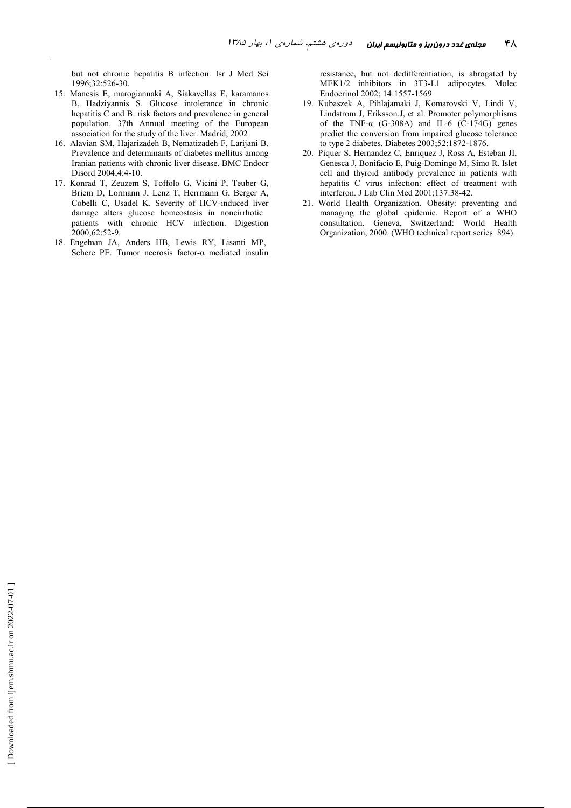but not chronic hepatitis B infection. Isr J Med Sci 1996;32:526-30.

- 15. Manesis E, marogiannaki A, Siakavellas E, karamanos B, Hadziyannis S. Glucose intolerance in chronic hepatitis C and B: risk factors and prevalence in general population. 37th Annual meeting of the European association for the study of the liver. Madrid, 2002
- 16. Alavian SM, Hajarizadeh B, Nematizadeh F, Larijani B, Prevalence and determinants of diabetes mellitus among Iranian patients with chronic liver disease. BMC Endocr Disord 2004;4:4-10.
- 17. Konrad T, Zeuzem S, Toffolo G, Vicini P, Teuber G, Briem D, Lormann J, Lenz T, Herrmann G, Berger A, Cobelli C, Usadel K. Severity of HCV-induced liver damage alters glucose homeostasis in noncirrhotic patients with chronic HCV infection. Digestion 2000;62:52-9.
- 18. Engelman JA, Anders HB, Lewis RY, Lisanti MP, Schere PE. Tumor necrosis factor- $\alpha$  mediated insulin

resistance, but not dedifferentiation, is abrogated by MEK1/2 inhibitors in 3T3-L1 adipocytes. Molec Endocrinol 2002; 14:1557-1569

- 19. Kubaszek A, Pihlajamaki J, Komarovski V, Lindi V, Lindstrom J, Eriksson.J, et al. Promoter polymorphisms of the TNF- $\alpha$  (G-308A) and IL-6 (C-174G) genes predict the conversion from impaired glucose tolerance to type 2 diabetes. Diabetes 2003;52:1872-1876.
- 20. Piquer S, Hernandez C, Enriquez J, Ross A, Esteban JI, Genesca J, Bonifacio E, Puig-Domingo M, Simo R. Islet cell and thyroid antibody prevalence in patients with hepatitis C virus infection: effect of treatment with interferon. J Lab Clin Med 2001;137:38-42.
- 21. World Health Organization. Obesity: preventing and managing the global epidemic. Report of a WHO consultation. Geneva, Switzerland: World Health Organization, 2000. (WHO technical report series 894).